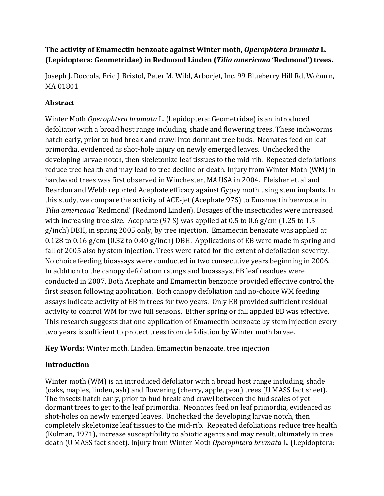# **The activity of Emamectin benzoate against Winter moth,** *Operophtera brumata* **L. (Lepidoptera: Geometridae) in Redmond Linden (Tilia americana 'Redmond') trees.**

Joseph J. Doccola, Eric J. Bristol, Peter M. Wild, Arboriet, Inc. 99 Blueberry Hill Rd, Woburn, MA 01801 

# **Abstract**

Winter Moth *Operophtera brumata* L. (Lepidoptera: Geometridae) is an introduced defoliator with a broad host range including, shade and flowering trees. These inchworms hatch early, prior to bud break and crawl into dormant tree buds. Neonates feed on leaf primordia, evidenced as shot-hole injury on newly emerged leaves. Unchecked the developing larvae notch, then skeletonize leaf tissues to the mid-rib. Repeated defoliations reduce tree health and may lead to tree decline or death. Injury from Winter Moth (WM) in hardwood trees was first observed in Winchester, MA USA in 2004. Fleisher et. al and Reardon and Webb reported Acephate efficacy against Gypsy moth using stem implants. In this study, we compare the activity of ACE-jet (Acephate 97S) to Emamectin benzoate in *Tilia americana* 'Redmond' (Redmond Linden). Dosages of the insecticides were increased with increasing tree size. Acephate  $(97 S)$  was applied at 0.5 to 0.6 g/cm (1.25 to 1.5 g/inch) DBH, in spring 2005 only, by tree injection. Emamectin benzoate was applied at 0.128 to 0.16  $g/cm$  (0.32 to 0.40  $g/inch$ ) DBH. Applications of EB were made in spring and fall of 2005 also by stem injection. Trees were rated for the extent of defoliation severity. No choice feeding bioassays were conducted in two consecutive years beginning in 2006. In addition to the canopy defoliation ratings and bioassays, EB leaf residues were conducted in 2007. Both Acephate and Emamectin benzoate provided effective control the first season following application. Both canopy defoliation and no-choice WM feeding assays indicate activity of EB in trees for two years. Only EB provided sufficient residual activity to control WM for two full seasons. Either spring or fall applied EB was effective. This research suggests that one application of Emamectin benzoate by stem injection every two years is sufficient to protect trees from defoliation by Winter moth larvae.

**Key Words:** Winter moth, Linden, Emamectin benzoate, tree injection

# **Introduction**

Winter moth (WM) is an introduced defoliator with a broad host range including, shade (oaks, maples, linden, ash) and flowering (cherry, apple, pear) trees (U MASS fact sheet). The insects hatch early, prior to bud break and crawl between the bud scales of yet dormant trees to get to the leaf primordia. Neonates feed on leaf primordia, evidenced as shot-holes on newly emerged leaves. Unchecked the developing larvae notch, then completely skeletonize leaf tissues to the mid-rib. Repeated defoliations reduce tree health (Kulman, 1971), increase susceptibility to abiotic agents and may result, ultimately in tree death (U MASS fact sheet). Injury from Winter Moth *Operophtera brumata* L. (Lepidoptera: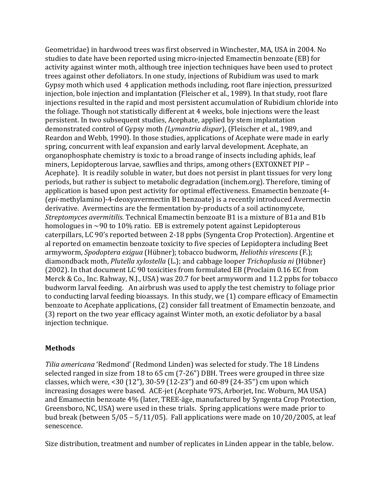Geometridae) in hardwood trees was first observed in Winchester, MA, USA in 2004. No studies to date have been reported using micro-injected Emamectin benzoate (EB) for activity against winter moth, although tree injection techniques have been used to protect trees against other defoliators. In one study, injections of Rubidium was used to mark Gypsy moth which used 4 application methods including, root flare injection, pressurized injection, bole injection and implantation (Fleischer et al., 1989). In that study, root flare injections resulted in the rapid and most persistent accumulation of Rubidium chloride into the foliage. Though not statistically different at 4 weeks, bole injections were the least persistent. In two subsequent studies, Acephate, applied by stem implantation demonstrated control of Gypsy moth *(Lymantria dispar*), (Fleischer et al., 1989, and Reardon and Webb, 1990). In those studies, applications of Acephate were made in early spring, concurrent with leaf expansion and early larval development. Acephate, an organophosphate chemistry is toxic to a broad range of insects including aphids, leaf miners, Lepidopterous larvae, sawflies and thrips, among others (EXTOXNET PIP – Acephate). It is readily soluble in water, but does not persist in plant tissues for very long periods, but rather is subject to metabolic degradation (inchem.org). Therefore, timing of application is based upon pest activity for optimal effectiveness. Emamectin benzoate (4-(*epi*-methylamino)-4-deoxyavermectin B1 benzoate) is a recently introduced Avermectin derivative. Avermectins are the fermentation by-products of a soil actinomycete, *Streptomyces avermitilis.* Technical Emamectin benzoate B1 is a mixture of B1a and B1b homologues in  $\sim$ 90 to 10% ratio. EB is extremely potent against Lepidopterous caterpillars, LC 90's reported between 2-18 ppbs (Syngenta Crop Protection). Argentine et al reported on emamectin benzoate toxicity to five species of Lepidoptera including Beet armyworm, *Spodoptera exigua* (Hübner); tobacco budworm, *Heliothis virescens* (F.); diamondback moth, *Plutella xylostella* (L.); and cabbage looper *Trichoplusia ni* (Hübner) (2002). In that document LC 90 toxicities from formulated EB (Proclaim 0.16 EC from Merck & Co., Inc. Rahway, N.J., USA) was 20.7 for beet armyworm and 11.2 ppbs for tobacco budworm larval feeding. An airbrush was used to apply the test chemistry to foliage prior to conducting larval feeding bioassays. In this study, we (1) compare efficacy of Emamectin benzoate to Acephate applications, (2) consider fall treatment of Emamectin benzoate, and (3) report on the two year efficacy against Winter moth, an exotic defoliator by a basal injection technique.

## **Methods**

*Tilia americana* 'Redmond' (Redmond Linden) was selected for study. The 18 Lindens selected ranged in size from  $18$  to  $65$  cm  $(7-26)$  DBH. Trees were grouped in three size classes, which were, <30  $(12")$ , 30-59  $(12-23")$  and 60-89  $(24-35")$  cm upon which increasing dosages were based. ACE-jet (Acephate 97S, Arborjet, Inc. Woburn, MA USA) and Emamectin benzoate 4% (later, TREE-äge, manufactured by Syngenta Crop Protection, Greensboro, NC, USA) were used in these trials. Spring applications were made prior to bud break (between  $5/05 - 5/11/05$ ). Fall applications were made on  $10/20/2005$ , at leaf senescence. 

Size distribution, treatment and number of replicates in Linden appear in the table, below.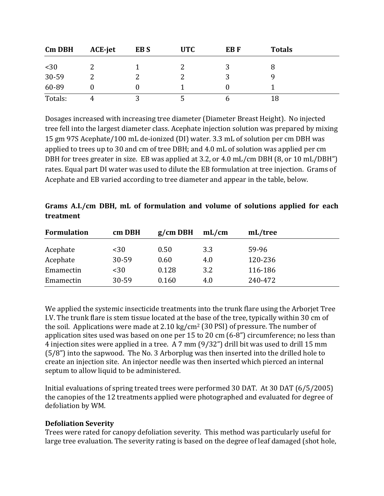| <b>Cm DBH</b> | <b>ACE-jet</b> | EB <sub>S</sub> | <b>UTC</b> | EB F | <b>Totals</b> |  |
|---------------|----------------|-----------------|------------|------|---------------|--|
| $30$          |                |                 |            |      |               |  |
| 30-59         |                |                 |            |      |               |  |
| 60-89         |                |                 |            |      |               |  |
| Totals:       |                |                 |            |      |               |  |

Dosages increased with increasing tree diameter (Diameter Breast Height). No injected tree fell into the largest diameter class. Acephate injection solution was prepared by mixing 15 gm 97S Acephate/100 mL de-ionized (DI) water. 3.3 mL of solution per cm DBH was applied to trees up to 30 and cm of tree DBH; and 4.0 mL of solution was applied per cm DBH for trees greater in size. EB was applied at 3.2, or 4.0  $mL/cm$  DBH (8, or 10  $mL/DBH''$ ) rates. Equal part DI water was used to dilute the EB formulation at tree injection. Grams of Acephate and EB varied according to tree diameter and appear in the table, below.

| <b>Formulation</b> | cm DBH | $g/cm$ DBH | mL/cm | mL/tree |
|--------------------|--------|------------|-------|---------|
| Acephate           | $30$   | 0.50       | 3.3   | 59-96   |
| Acephate           | 30-59  | 0.60       | 4.0   | 120-236 |
| Emamectin          | $30$   | 0.128      | 3.2   | 116-186 |
| Emamectin          | 30-59  | 0.160      | 4.0   | 240-472 |

| Grams A.I./cm DBH, mL of formulation and volume of solutions applied for each |  |  |  |  |  |
|-------------------------------------------------------------------------------|--|--|--|--|--|
| treatment                                                                     |  |  |  |  |  |

We applied the systemic insecticide treatments into the trunk flare using the Arborjet Tree I.V. The trunk flare is stem tissue located at the base of the tree, typically within 30 cm of the soil. Applications were made at  $2.10 \text{ kg/cm}^2$  (30 PSI) of pressure. The number of application sites used was based on one per 15 to 20 cm  $(6-8)$  circumference; no less than 4 injection sites were applied in a tree. A 7 mm (9/32") drill bit was used to drill 15 mm  $(5/8)$  into the sapwood. The No. 3 Arborplug was then inserted into the drilled hole to create an injection site. An injector needle was then inserted which pierced an internal septum to allow liquid to be administered.

Initial evaluations of spring treated trees were performed 30 DAT. At 30 DAT (6/5/2005) the canopies of the 12 treatments applied were photographed and evaluated for degree of defoliation by WM.

### **Defoliation Severity**

Trees were rated for canopy defoliation severity. This method was particularly useful for large tree evaluation. The severity rating is based on the degree of leaf damaged (shot hole,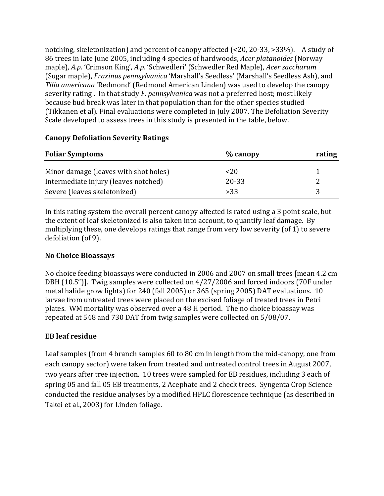notching, skeletonization) and percent of canopy affected  $\left($  <20, 20-33, >33%). A study of 86 trees in late June 2005, including 4 species of hardwoods, *Acer platanoides* (Norway maple), A.p. 'Crimson King', A.p. 'Schwedleri' (Schwedler Red Maple), *Acer saccharum* (Sugar maple), *Fraxinus pennsylvanica* 'Marshall's Seedless' (Marshall's Seedless Ash), and *Tilia americana* 'Redmond' (Redmond American Linden) was used to develop the canopy severity rating . In that study *F. pennsylvanica* was not a preferred host; most likely because bud break was later in that population than for the other species studied (Tikkanen et al). Final evaluations were completed in July 2007. The Defoliation Severity Scale developed to assess trees in this study is presented in the table, below.

| <b>Foliar Symptoms</b>                | $%$ canopy | rating |
|---------------------------------------|------------|--------|
| Minor damage (leaves with shot holes) | $<$ 20     |        |
| Intermediate injury (leaves notched)  | 20-33      |        |
| Severe (leaves skeletonized)          | >33        |        |

### **Canopy Defoliation Severity Ratings**

In this rating system the overall percent canopy affected is rated using a 3 point scale, but the extent of leaf skeletonized is also taken into account, to quantify leaf damage. By multiplying these, one develops ratings that range from very low severity  $(of 1)$  to severe defoliation (of 9).

## **No Choice Bioassays**

No choice feeding bioassays were conducted in 2006 and 2007 on small trees [mean 4.2 cm DBH  $(10.5")$ ]. Twig samples were collected on  $4/27/2006$  and forced indoors (70F under metal halide grow lights) for 240 (fall 2005) or 365 (spring 2005) DAT evaluations. 10 larvae from untreated trees were placed on the excised foliage of treated trees in Petri plates. WM mortality was observed over a 48 H period. The no choice bioassay was repeated at 548 and 730 DAT from twig samples were collected on 5/08/07.

## **EB leaf residue**

Leaf samples (from 4 branch samples 60 to 80 cm in length from the mid-canopy, one from each canopy sector) were taken from treated and untreated control trees in August 2007, two years after tree injection. 10 trees were sampled for EB residues, including 3 each of spring 05 and fall 05 EB treatments, 2 Acephate and 2 check trees. Syngenta Crop Science conducted the residue analyses by a modified HPLC florescence technique (as described in Takei et al., 2003) for Linden foliage.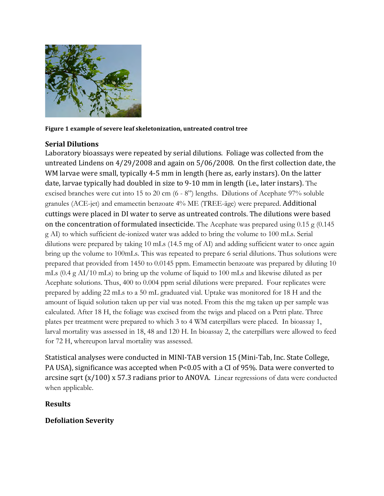

Figure 1 example of severe leaf skeletonization, untreated control tree

### **Serial Dilutions**

Laboratory bioassays were repeated by serial dilutions. Foliage was collected from the untreated Lindens on  $4/29/2008$  and again on  $5/06/2008$ . On the first collection date, the WM larvae were small, typically 4-5 mm in length (here as, early instars). On the latter date, larvae typically had doubled in size to 9-10 mm in length (i.e., later instars). The excised branches were cut into 15 to 20 cm (6 - 8") lengths. Dilutions of Acephate 97% soluble granules (ACE-jet) and emamectin benzoate 4% ME (TREE-äge) were prepared. Additional cuttings were placed in DI water to serve as untreated controls. The dilutions were based on the concentration of formulated insecticide. The Acephate was prepared using  $0.15$  g (0.145) g AI) to which sufficient de-ionized water was added to bring the volume to 100 mLs. Serial dilutions were prepared by taking 10 mLs (14.5 mg of AI) and adding sufficient water to once again bring up the volume to 100mLs. This was repeated to prepare 6 serial dilutions. Thus solutions were prepared that provided from 1450 to 0.0145 ppm. Emamectin benzoate was prepared by diluting 10 mLs (0.4 g AI/10 mLs) to bring up the volume of liquid to 100 mLs and likewise diluted as per Acephate solutions. Thus, 400 to 0.004 ppm serial dilutions were prepared. Four replicates were prepared by adding 22 mLs to a 50 mL graduated vial. Uptake was monitored for 18 H and the amount of liquid solution taken up per vial was noted. From this the mg taken up per sample was calculated. After 18 H, the foliage was excised from the twigs and placed on a Petri plate. Three plates per treatment were prepared to which 3 to 4 WM caterpillars were placed. In bioassay 1, larval mortality was assessed in 18, 48 and 120 H. In bioassay 2, the caterpillars were allowed to feed for 72 H, whereupon larval mortality was assessed.

Statistical analyses were conducted in MINI-TAB version 15 (Mini-Tab, Inc. State College, PA USA), significance was accepted when P<0.05 with a CI of 95%. Data were converted to arcsine sqrt  $(x/100)$  x 57.3 radians prior to ANOVA. Linear regressions of data were conducted when applicable.

### **Results**

## **Defoliation Severity**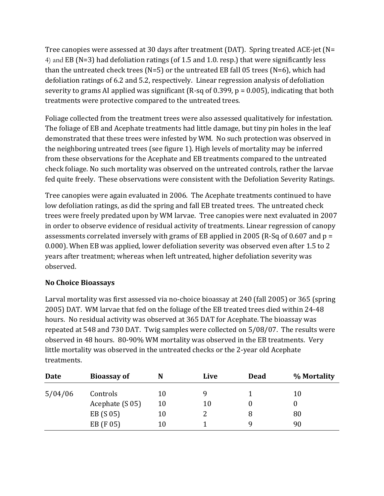Tree canopies were assessed at 30 days after treatment (DAT). Spring treated ACE-jet (N= 4) and EB (N=3) had defoliation ratings (of 1.5 and 1.0. resp.) that were significantly less than the untreated check trees  $(N=5)$  or the untreated EB fall 05 trees  $(N=6)$ , which had defoliation ratings of 6.2 and 5.2, respectively. Linear regression analysis of defoliation severity to grams AI applied was significant  $(R-sq \text{ of } 0.399, p = 0.005)$ , indicating that both treatments were protective compared to the untreated trees.

Foliage collected from the treatment trees were also assessed qualitatively for infestation. The foliage of EB and Acephate treatments had little damage, but tiny pin holes in the leaf demonstrated that these trees were infested by WM. No such protection was observed in the neighboring untreated trees (see figure 1). High levels of mortality may be inferred from these observations for the Acephate and EB treatments compared to the untreated check foliage. No such mortality was observed on the untreated controls, rather the larvae fed quite freely. These observations were consistent with the Defoliation Severity Ratings.

Tree canopies were again evaluated in 2006. The Acephate treatments continued to have low defoliation ratings, as did the spring and fall EB treated trees. The untreated check trees were freely predated upon by WM larvae. Tree canopies were next evaluated in 2007 in order to observe evidence of residual activity of treatments. Linear regression of canopy assessments correlated inversely with grams of EB applied in 2005 (R-Sq of 0.607 and  $p =$ 0.000). When EB was applied, lower defoliation severity was observed even after 1.5 to 2 years after treatment; whereas when left untreated, higher defoliation severity was observed. 

## **No Choice Bioassays**

Larval mortality was first assessed via no-choice bioassay at 240 (fall 2005) or 365 (spring 2005) DAT. WM larvae that fed on the foliage of the EB treated trees died within 24-48 hours. No residual activity was observed at 365 DAT for Acephate. The bioassay was repeated at 548 and 730 DAT. Twig samples were collected on 5/08/07. The results were observed in 48 hours. 80-90% WM mortality was observed in the EB treatments. Very little mortality was observed in the untreated checks or the 2-year old Acephate treatments.

| Date    | <b>Bioassay of</b> | N  | Live | <b>Dead</b> | % Mortality |
|---------|--------------------|----|------|-------------|-------------|
| 5/04/06 | Controls           | 10 | y    |             | 10          |
|         | Acephate (S 05)    | 10 | 10   |             |             |
|         | EB (S 05)          | 10 |      | 8           | 80          |
|         | EB (F 05)          | 10 |      |             | 90          |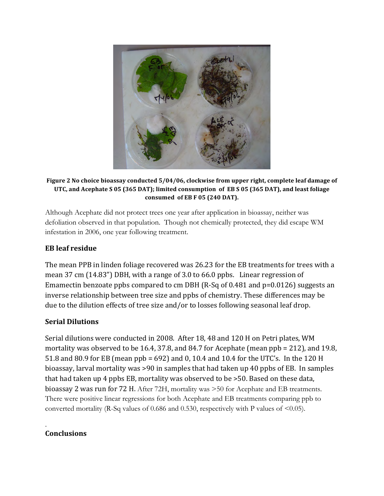

#### Figure 2 No choice bioassay conducted  $5/04/06$ , clockwise from upper right, complete leaf damage of UTC, and Acephate S 05 (365 DAT); limited consumption of EB S 05 (365 DAT), and least foliage **consumed of EB F 05 (240 DAT).**

Although Acephate did not protect trees one year after application in bioassay, neither was defoliation observed in that population. Though not chemically protected, they did escape WM infestation in 2006, one year following treatment.

## **EB leaf residue**

The mean PPB in linden foliage recovered was 26.23 for the EB treatments for trees with a mean  $37 \text{ cm}$  (14.83") DBH, with a range of  $3.0 \text{ to } 66.0 \text{ pb}$ . Linear regression of Emamectin benzoate ppbs compared to cm DBH (R-Sq of 0.481 and  $p=0.0126$ ) suggests an inverse relationship between tree size and ppbs of chemistry. These differences may be due to the dilution effects of tree size and/or to losses following seasonal leaf drop.

## **Serial Dilutions**

Serial dilutions were conducted in 2008. After 18, 48 and 120 H on Petri plates, WM mortality was observed to be 16.4, 37.8, and 84.7 for Acephate (mean  $ppb = 212$ ), and 19.8, 51.8 and 80.9 for EB (mean  $ppb = 692$ ) and 0, 10.4 and 10.4 for the UTC's. In the 120 H bioassay, larval mortality was >90 in samples that had taken up 40 ppbs of EB. In samples that had taken up 4 ppbs EB, mortality was observed to be  $>50$ . Based on these data, bioassay 2 was run for 72 H. After 72H, mortality was >50 for Acephate and EB treatments. There were positive linear regressions for both Acephate and EB treatments comparing ppb to converted mortality (R-Sq values of 0.686 and 0.530, respectively with P values of  $\leq 0.05$ ).

#### . **Conclusions**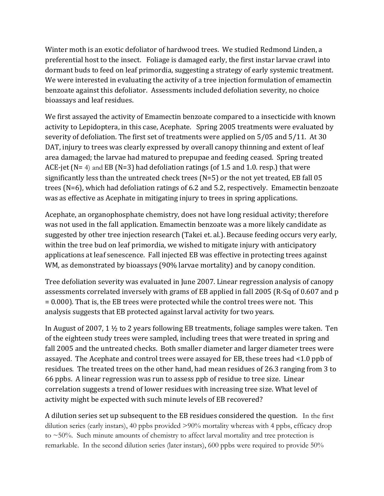Winter moth is an exotic defoliator of hardwood trees. We studied Redmond Linden, a preferential host to the insect. Foliage is damaged early, the first instar larvae crawl into dormant buds to feed on leaf primordia, suggesting a strategy of early systemic treatment. We were interested in evaluating the activity of a tree injection formulation of emamectin benzoate against this defoliator. Assessments included defoliation severity, no choice bioassays and leaf residues.

We first assayed the activity of Emamectin benzoate compared to a insecticide with known activity to Lepidoptera, in this case, Acephate. Spring 2005 treatments were evaluated by severity of defoliation. The first set of treatments were applied on  $5/05$  and  $5/11$ . At 30 DAT, injury to trees was clearly expressed by overall canopy thinning and extent of leaf area damaged; the larvae had matured to prepupae and feeding ceased. Spring treated ACE-jet (N= 4) and EB (N=3) had defoliation ratings (of 1.5 and 1.0. resp.) that were significantly less than the untreated check trees  $(N=5)$  or the not yet treated, EB fall 05 trees (N=6), which had defoliation ratings of 6.2 and 5.2, respectively. Emamectin benzoate was as effective as Acephate in mitigating injury to trees in spring applications.

Acephate, an organophosphate chemistry, does not have long residual activity; therefore was not used in the fall application. Emamectin benzoate was a more likely candidate as suggested by other tree injection research (Takei et. al.). Because feeding occurs very early, within the tree bud on leaf primordia, we wished to mitigate injury with anticipatory applications at leaf senescence. Fall injected EB was effective in protecting trees against WM, as demonstrated by bioassays (90% larvae mortality) and by canopy condition.

Tree defoliation severity was evaluated in June 2007. Linear regression analysis of canopy assessments correlated inversely with grams of EB applied in fall 2005 (R-Sq of 0.607 and p  $= 0.000$ ). That is, the EB trees were protected while the control trees were not. This analysis suggests that EB protected against larval activity for two years.

In August of 2007, 1  $\frac{1}{2}$  to 2 years following EB treatments, foliage samples were taken. Ten of the eighteen study trees were sampled, including trees that were treated in spring and fall 2005 and the untreated checks. Both smaller diameter and larger diameter trees were assayed. The Acephate and control trees were assayed for EB, these trees had <1.0 ppb of residues. The treated trees on the other hand, had mean residues of 26.3 ranging from 3 to 66 ppbs. A linear regression was run to assess ppb of residue to tree size. Linear correlation suggests a trend of lower residues with increasing tree size. What level of activity might be expected with such minute levels of EB recovered?

A dilution series set up subsequent to the EB residues considered the question. In the first dilution series (early instars), 40 ppbs provided >90% mortality whereas with 4 ppbs, efficacy drop to  $\sim$  50%. Such minute amounts of chemistry to affect larval mortality and tree protection is remarkable. In the second dilution series (later instars), 600 ppbs were required to provide 50%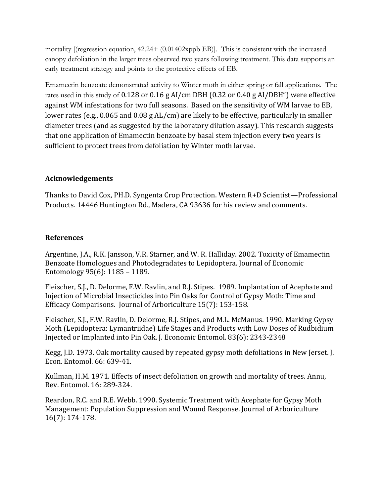mortality [(regression equation, 42.24+ (0.01402xppb EB)]. This is consistent with the increased canopy defoliation in the larger trees observed two years following treatment. This data supports an early treatment strategy and points to the protective effects of EB.

Emamectin benzoate demonstrated activity to Winter moth in either spring or fall applications. The rates used in this study of 0.128 or 0.16 g AI/cm DBH (0.32 or 0.40 g AI/DBH") were effective against WM infestations for two full seasons. Based on the sensitivity of WM larvae to EB, lower rates (e.g., 0.065 and 0.08  $g$  AL/cm) are likely to be effective, particularly in smaller diameter trees (and as suggested by the laboratory dilution assay). This research suggests that one application of Emamectin benzoate by basal stem injection every two years is sufficient to protect trees from defoliation by Winter moth larvae.

### **Acknowledgements**

Thanks to David Cox, PH.D. Syngenta Crop Protection. Western  $R+D$  Scientist—Professional Products. 14446 Huntington Rd., Madera, CA 93636 for his review and comments.

### **References**

Argentine, J.A., R.K. Jansson, V.R. Starner, and W. R. Halliday. 2002. Toxicity of Emamectin Benzoate Homologues and Photodegradates to Lepidoptera. Journal of Economic Entomology  $95(6)$ : 1185 – 1189.

Fleischer, S.J., D. Delorme, F.W. Ravlin, and R.J. Stipes. 1989. Implantation of Acephate and Injection of Microbial Insecticides into Pin Oaks for Control of Gypsy Moth: Time and Efficacy Comparisons. Journal of Arboriculture 15(7): 153-158.

Fleischer, S.J., F.W. Ravlin, D. Delorme, R.J. Stipes, and M.L. McManus. 1990. Marking Gypsy Moth (Lepidoptera: Lymantriidae) Life Stages and Products with Low Doses of Rudbidium Injected or Implanted into Pin Oak. J. Economic Entomol. 83(6): 2343-2348

Kegg, J.D. 1973. Oak mortality caused by repeated gypsy moth defoliations in New Jerset. J. Econ. Entomol. 66: 639-41.

Kullman, H.M. 1971. Effects of insect defoliation on growth and mortality of trees. Annu, Rev. Entomol. 16: 289-324.

Reardon, R.C. and R.E. Webb. 1990. Systemic Treatment with Acephate for Gypsy Moth Management: Population Suppression and Wound Response. Journal of Arboriculture 16(7): 174-178.